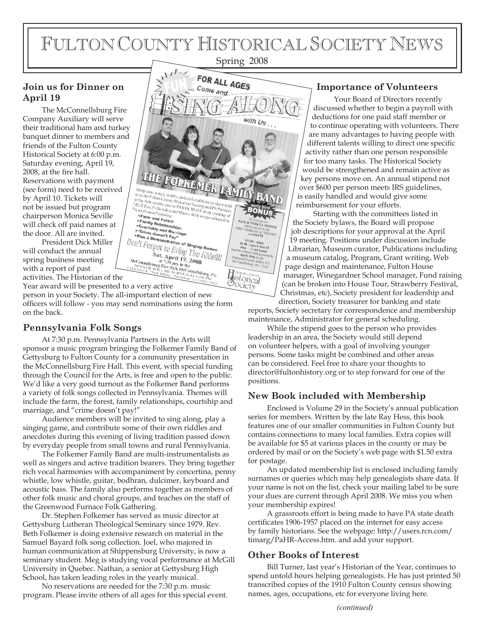# FULTON COUNTY HISTORICAL SOCIETY NEWS

## Spring 2008

#### **Join us for Dinner on April 19**

The McConnellsburg Fire Company Auxiliary will serve their traditional ham and turkey banquet dinner to members and friends of the Fulton County Historical Society at 6:00 p.m. Saturday evening, April 19, 2008, at the fire hall. Reservations with payment (see form) need to be received by April 10. Tickets will not be issued but program chairperson Monica Seville will check off paid names at the door. All are invited.

President Dick Miller will conduct the annual spring business meeting with a report of past activities. The Historian of the

Year award will be presented to a very active

person in your Society. The all-important election of new officers will follow - you may send nominations using the form on the back.

### **Pennsylvania Folk Songs**

At 7:30 p.m. Pennsylvania Partners in the Arts will sponsor a music program bringing the Folkemer Family Band of Gettysburg to Fulton County for a community presentation in the McConnellsburg Fire Hall. This event, with special funding through the Council for the Arts, is free and open to the public. We'd like a very good turnout as the Folkemer Band performs a variety of folk songs collected in Pennsylvania. Themes will include the farm, the forest, family relationships, courtship and marriage, and "crime doesn't pay!"

Audience members will be invited to sing along, play a singing game, and contribute some of their own riddles and anecdotes during this evening of living tradition passed down by everyday people from small towns and rural Pennsylvania.

The Folkemer Family Band are multi-instrumentalists as well as singers and active tradition bearers. They bring together rich vocal harmonies with accompaniment by concertina, penny whistle, low whistle, guitar, bodhran, dulcimer, keyboard and acoustic bass. The family also performs together as members of other folk music and choral groups, and teaches on the staff of the Greenwood Furnace Folk Gathering.

Dr. Stephen Folkemer has served as music director at Gettysburg Lutheran Theological Seminary since 1979. Rev. Beth Folkemer is doing extensive research on material in the Samuel Bayard folk song collection. Joel, who majored in human communication at Shippensburg University, is now a seminary student. Meg is studying vocal performance at McGill University in Quebec. Nathan, a senior at Gettysburg High School, has taken leading roles in the yearly musical.

No reservations are needed for the 7:30 p.m. music program. Please invite others of all ages for this special event.



#### **Importance of Volunteers**

Your Board of Directors recently discussed whether to begin a payroll with deductions for one paid staff member or to continue operating with volunteers. There are many advantages to having people with different talents willing to direct one specific activity rather than one person responsible for too many tasks. The Historical Society would be strengthened and remain active as key persons move on. An annual stipend not over \$600 per person meets IRS guidelines, is easily handled and would give some reimbursement for your efforts.

Starting with the committees listed in the Society bylaws, the Board will propose job descriptions for your approval at the April 19 meeting. Positions under discussion include Librarian, Museum curator, Publications including a museum catalog, Program, Grant writing, Web page design and maintenance, Fulton House manager, Winegardner School manager, Fund raising (can be broken into House Tour, Strawberry Festival, Christmas, etc), Society president for leadership and direction, Society treasurer for banking and state

reports, Society secretary for correspondence and membership maintenance, Administrator for general scheduling.

While the stipend goes to the person who provides leadership in an area, the Society would still depend on volunteer helpers, with a goal of involving younger persons. Some tasks might be combined and other areas can be considered. Feel free to share your thoughts to director@fultonhistory.org or to step forward for one of the positions.

### **New Book included with Membership**

Enclosed is Volume 29 in the Society's annual publication series for members. Written by the late Ray Hess, this book features one of our smaller communities in Fulton County but contains connections to many local families. Extra copies will be available for \$5 at various places in the county or may be ordered by mail or on the Society's web page with \$1.50 extra for postage.

An updated membership list is enclosed including family surnames or queries which may help genealogists share data. If your name is not on the list, check your mailing label to be sure your dues are current through April 2008. We miss you when your membership expires!

A grassroots effort is being made to have PA state death certificates 1906-1957 placed on the internet for easy access by family historians. See the webpage: http://users.rcn.com/ timarg/PaHR-Access.htm. and add your support.

### **Other Books of Interest**

Bill Turner, last year's Historian of the Year, continues to spend untold hours helping genealogists. He has just printed 50 transcribed copies of the 1910 Fulton County census showing names, ages, occupations, etc for everyone living here.